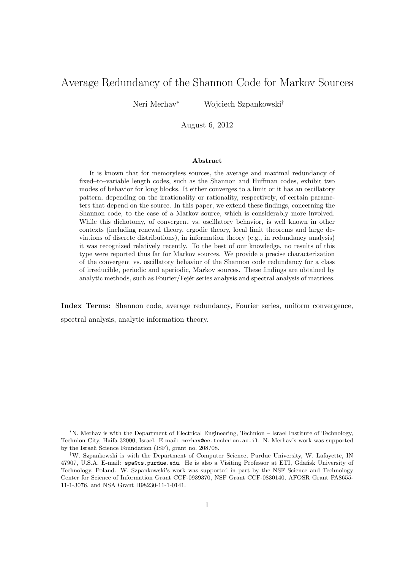# Average Redundancy of the Shannon Code for Markov Sources

Neri Merhav<sup>∗</sup> Wojciech Szpankowski†

August 6, 2012

#### Abstract

It is known that for memoryless sources, the average and maximal redundancy of fixed–to–variable length codes, such as the Shannon and Huffman codes, exhibit two modes of behavior for long blocks. It either converges to a limit or it has an oscillatory pattern, depending on the irrationality or rationality, respectively, of certain parameters that depend on the source. In this paper, we extend these findings, concerning the Shannon code, to the case of a Markov source, which is considerably more involved. While this dichotomy, of convergent vs. oscillatory behavior, is well known in other contexts (including renewal theory, ergodic theory, local limit theorems and large deviations of discrete distributions), in information theory (e.g., in redundancy analysis) it was recognized relatively recently. To the best of our knowledge, no results of this type were reported thus far for Markov sources. We provide a precise characterization of the convergent vs. oscillatory behavior of the Shannon code redundancy for a class of irreducible, periodic and aperiodic, Markov sources. These findings are obtained by analytic methods, such as Fourier/Fejer series analysis and spectral analysis of matrices.

Index Terms: Shannon code, average redundancy, Fourier series, uniform convergence, spectral analysis, analytic information theory.

<sup>∗</sup>N. Merhav is with the Department of Electrical Engineering, Technion – Israel Institute of Technology, Technion City, Haifa 32000, Israel. E-mail: merhav@ee.technion.ac.il. N. Merhav's work was supported by the Israeli Science Foundation (ISF), grant no. 208/08.

<sup>†</sup>W. Szpankowski is with the Department of Computer Science, Purdue University, W. Lafayette, IN 47907, U.S.A. E-mail: spa@cs.purdue.edu. He is also a Visiting Professor at ETI, Gdansk University of Technology, Poland. W. Szpankowski's work was supported in part by the NSF Science and Technology Center for Science of Information Grant CCF-0939370, NSF Grant CCF-0830140, AFOSR Grant FA8655- 11-1-3076, and NSA Grant H98230-11-1-0141.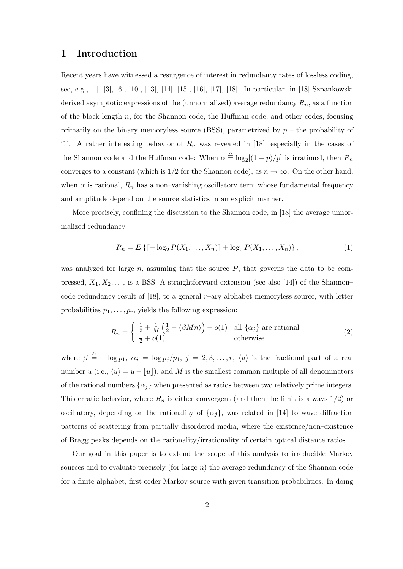# 1 Introduction

Recent years have witnessed a resurgence of interest in redundancy rates of lossless coding, see, e.g., [1], [3], [6], [10], [13], [14], [15], [16], [17], [18]. In particular, in [18] Szpankowski derived asymptotic expressions of the (unnormalized) average redundancy  $R_n$ , as a function of the block length  $n$ , for the Shannon code, the Huffman code, and other codes, focusing primarily on the binary memoryless source (BSS), parametrized by  $p -$  the probability of '1'. A rather interesting behavior of  $R_n$  was revealed in [18], especially in the cases of the Shannon code and the Huffman code: When  $\alpha \triangleq \log_2[(1-p)/p]$  is irrational, then  $R_n$ converges to a constant (which is  $1/2$  for the Shannon code), as  $n \to \infty$ . On the other hand, when  $\alpha$  is rational,  $R_n$  has a non-vanishing oscillatory term whose fundamental frequency and amplitude depend on the source statistics in an explicit manner.

More precisely, confining the discussion to the Shannon code, in [18] the average unnormalized redundancy

$$
R_n = \mathbf{E} \left\{ \left[ -\log_2 P(X_1, \dots, X_n) \right] + \log_2 P(X_1, \dots, X_n) \right\},\tag{1}
$$

was analyzed for large  $n$ , assuming that the source  $P$ , that governs the data to be compressed,  $X_1, X_2, \ldots$ , is a BSS. A straightforward extension (see also [14]) of the Shannon– code redundancy result of  $[18]$ , to a general r–ary alphabet memoryless source, with letter probabilities  $p_1, \ldots, p_r$ , yields the following expression:

$$
R_n = \begin{cases} \frac{1}{2} + \frac{1}{M} \left( \frac{1}{2} - \langle \beta M n \rangle \right) + o(1) & \text{all } \{ \alpha_j \} \text{ are rational} \\ \frac{1}{2} + o(1) & \text{otherwise} \end{cases}
$$
 (2)

where  $\beta \triangleq -\log p_1, \ \alpha_j = \log p_j/p_1, \ j = 2, 3, \ldots, r, \ \langle u \rangle$  is the fractional part of a real number u (i.e.,  $\langle u \rangle = u - \lfloor u \rfloor$ ), and M is the smallest common multiple of all denominators of the rational numbers  $\{\alpha_j\}$  when presented as ratios between two relatively prime integers. This erratic behavior, where  $R_n$  is either convergent (and then the limit is always  $1/2$ ) or oscillatory, depending on the rationality of  $\{\alpha_j\}$ , was related in [14] to wave diffraction patterns of scattering from partially disordered media, where the existence/non–existence of Bragg peaks depends on the rationality/irrationality of certain optical distance ratios.

Our goal in this paper is to extend the scope of this analysis to irreducible Markov sources and to evaluate precisely (for large  $n$ ) the average redundancy of the Shannon code for a finite alphabet, first order Markov source with given transition probabilities. In doing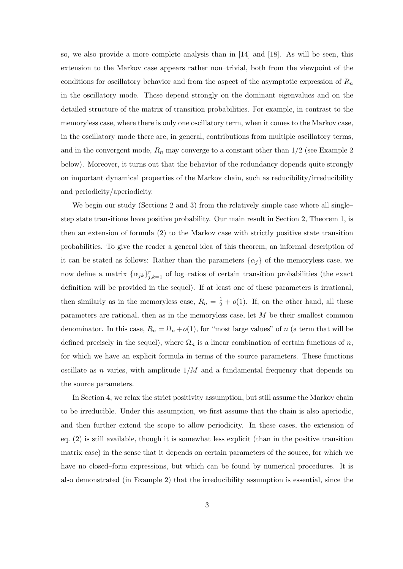so, we also provide a more complete analysis than in [14] and [18]. As will be seen, this extension to the Markov case appears rather non–trivial, both from the viewpoint of the conditions for oscillatory behavior and from the aspect of the asymptotic expression of  $R_n$ in the oscillatory mode. These depend strongly on the dominant eigenvalues and on the detailed structure of the matrix of transition probabilities. For example, in contrast to the memoryless case, where there is only one oscillatory term, when it comes to the Markov case, in the oscillatory mode there are, in general, contributions from multiple oscillatory terms, and in the convergent mode,  $R_n$  may converge to a constant other than  $1/2$  (see Example 2) below). Moreover, it turns out that the behavior of the redundancy depends quite strongly on important dynamical properties of the Markov chain, such as reducibility/irreducibility and periodicity/aperiodicity.

We begin our study (Sections 2 and 3) from the relatively simple case where all single– step state transitions have positive probability. Our main result in Section 2, Theorem 1, is then an extension of formula (2) to the Markov case with strictly positive state transition probabilities. To give the reader a general idea of this theorem, an informal description of it can be stated as follows: Rather than the parameters  $\{\alpha_j\}$  of the memoryless case, we now define a matrix  $\{\alpha_{jk}\}_{j,k=1}^r$  of log-ratios of certain transition probabilities (the exact definition will be provided in the sequel). If at least one of these parameters is irrational, then similarly as in the memoryless case,  $R_n = \frac{1}{2} + o(1)$ . If, on the other hand, all these parameters are rational, then as in the memoryless case, let M be their smallest common denominator. In this case,  $R_n = \Omega_n + o(1)$ , for "most large values" of n (a term that will be defined precisely in the sequel), where  $\Omega_n$  is a linear combination of certain functions of n, for which we have an explicit formula in terms of the source parameters. These functions oscillate as n varies, with amplitude  $1/M$  and a fundamental frequency that depends on the source parameters.

In Section 4, we relax the strict positivity assumption, but still assume the Markov chain to be irreducible. Under this assumption, we first assume that the chain is also aperiodic, and then further extend the scope to allow periodicity. In these cases, the extension of eq. (2) is still available, though it is somewhat less explicit (than in the positive transition matrix case) in the sense that it depends on certain parameters of the source, for which we have no closed–form expressions, but which can be found by numerical procedures. It is also demonstrated (in Example 2) that the irreducibility assumption is essential, since the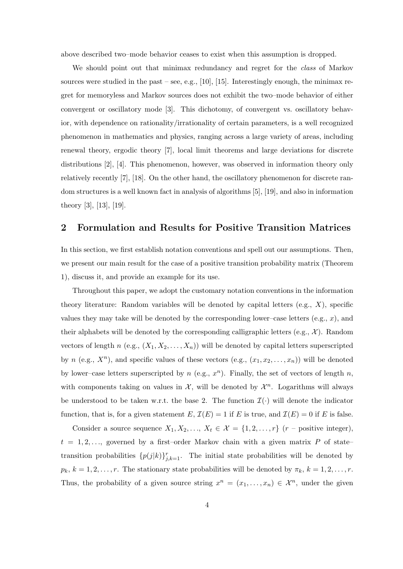above described two–mode behavior ceases to exist when this assumption is dropped.

We should point out that minimax redundancy and regret for the *class* of Markov sources were studied in the past – see, e.g., [10], [15]. Interestingly enough, the minimax regret for memoryless and Markov sources does not exhibit the two–mode behavior of either convergent or oscillatory mode [3]. This dichotomy, of convergent vs. oscillatory behavior, with dependence on rationality/irrationality of certain parameters, is a well recognized phenomenon in mathematics and physics, ranging across a large variety of areas, including renewal theory, ergodic theory [7], local limit theorems and large deviations for discrete distributions [2], [4]. This phenomenon, however, was observed in information theory only relatively recently [7], [18]. On the other hand, the oscillatory phenomenon for discrete random structures is a well known fact in analysis of algorithms [5], [19], and also in information theory [3], [13], [19].

# 2 Formulation and Results for Positive Transition Matrices

In this section, we first establish notation conventions and spell out our assumptions. Then, we present our main result for the case of a positive transition probability matrix (Theorem 1), discuss it, and provide an example for its use.

Throughout this paper, we adopt the customary notation conventions in the information theory literature: Random variables will be denoted by capital letters (e.g.,  $X$ ), specific values they may take will be denoted by the corresponding lower–case letters  $(e.g., x)$ , and their alphabets will be denoted by the corresponding calligraphic letters (e.g.,  $\mathcal{X}$ ). Random vectors of length n (e.g.,  $(X_1, X_2, \ldots, X_n)$ ) will be denoted by capital letters superscripted by n (e.g.,  $X^n$ ), and specific values of these vectors (e.g.,  $(x_1, x_2, \ldots, x_n)$ ) will be denoted by lower–case letters superscripted by  $n$  (e.g.,  $x^n$ ). Finally, the set of vectors of length  $n$ , with components taking on values in  $\mathcal{X}$ , will be denoted by  $\mathcal{X}^n$ . Logarithms will always be understood to be taken w.r.t. the base 2. The function  $\mathcal{I}(\cdot)$  will denote the indicator function, that is, for a given statement E,  $\mathcal{I}(E) = 1$  if E is true, and  $\mathcal{I}(E) = 0$  if E is false.

Consider a source sequence  $X_1, X_2, ..., X_t \in \mathcal{X} = \{1, 2, ..., r\}$  (r – positive integer),  $t = 1, 2, \ldots$ , governed by a first-order Markov chain with a given matrix P of statetransition probabilities  $\{p(j|k)\}_{j,k=1}^r$ . The initial state probabilities will be denoted by  $p_k, k = 1, 2, \ldots, r$ . The stationary state probabilities will be denoted by  $\pi_k, k = 1, 2, \ldots, r$ . Thus, the probability of a given source string  $x^n = (x_1, \ldots, x_n) \in \mathcal{X}^n$ , under the given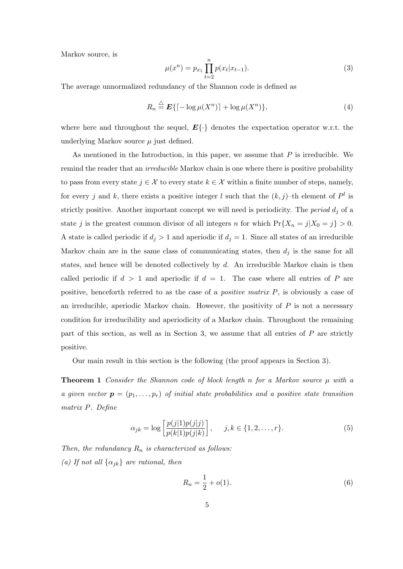Markov source, is

$$
\mu(x^n) = p_{x_1} \prod_{t=2}^n p(x_t | x_{t-1}).
$$
\n(3)

The average unnormalized redundancy of the Shannon code is defined as

$$
R_n \stackrel{\triangle}{=} \mathbf{E}\{ \lceil -\log \mu(X^n) \rceil + \log \mu(X^n) \},\tag{4}
$$

where here and throughout the sequel,  $E\{\cdot\}$  denotes the expectation operator w.r.t. the underlying Markov source  $\mu$  just defined.

As mentioned in the Introduction, in this paper, we assume that  $P$  is irreducible. We remind the reader that an *irreducible* Markov chain is one where there is positive probability to pass from every state  $j \in \mathcal{X}$  to every state  $k \in \mathcal{X}$  within a finite number of steps, namely, for every j and k, there exists a positive integer l such that the  $(k, j)$ -th element of  $P<sup>l</sup>$  is strictly positive. Another important concept we will need is periodicity. The *period*  $d_i$  of a state j is the greatest common divisor of all integers n for which  $Pr{X_n = j | X_0 = j} > 0$ . A state is called periodic if  $d_j > 1$  and aperiodic if  $d_j = 1$ . Since all states of an irreducible Markov chain are in the same class of communicating states, then  $d_i$  is the same for all states, and hence will be denoted collectively by  $d$ . An irreducible Markov chain is then called periodic if  $d > 1$  and aperiodic if  $d = 1$ . The case where all entries of P are positive, henceforth referred to as the case of a *positive matrix P*, is obviously a case of an irreducible, aperiodic Markov chain. However, the positivity of  $P$  is not a necessary condition for irreducibility and aperiodicity of a Markov chain. Throughout the remaining part of this section, as well as in Section 3, we assume that all entries of P are strictly positive.

Our main result in this section is the following (the proof appears in Section 3).

**Theorem 1** Consider the Shannon code of block length n for a Markov source  $\mu$  with a a given vector  $\mathbf{p} = (p_1, \ldots, p_r)$  of initial state probabilities and a positive state transition matrix P. Define

$$
\alpha_{jk} = \log \left[ \frac{p(j|1)p(j|j)}{p(k|1)p(j|k)} \right], \quad j, k \in \{1, 2, \dots, r\}.
$$
 (5)

Then, the redundancy  $R_n$  is characterized as follows: (a) If not all  $\{\alpha_{jk}\}\$ are rational, then

$$
R_n = \frac{1}{2} + o(1). \tag{6}
$$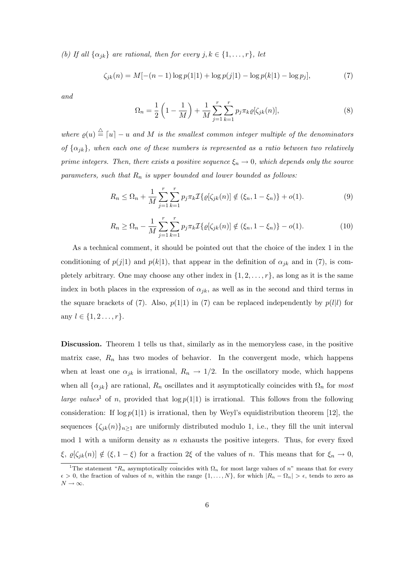(b) If all  $\{\alpha_{jk}\}\$ are rational, then for every  $j, k \in \{1, \ldots, r\}$ , let

$$
\zeta_{jk}(n) = M[-(n-1)\log p(1|1) + \log p(j|1) - \log p(k|1) - \log p_j],\tag{7}
$$

and

$$
\Omega_n = \frac{1}{2} \left( 1 - \frac{1}{M} \right) + \frac{1}{M} \sum_{j=1}^r \sum_{k=1}^r p_j \pi_k \varrho[\zeta_{jk}(n)],\tag{8}
$$

where  $\varrho(u) \triangleq [u] - u$  and M is the smallest common integer multiple of the denominators of  $\{\alpha_{jk}\}\$ , when each one of these numbers is represented as a ratio between two relatively prime integers. Then, there exists a positive sequence  $\xi_n \to 0$ , which depends only the source parameters, such that  $R_n$  is upper bounded and lower bounded as follows:

$$
R_n \le \Omega_n + \frac{1}{M} \sum_{j=1}^r \sum_{k=1}^r p_j \pi_k \mathcal{I}\{\varrho[\zeta_{jk}(n)] \notin (\xi_n, 1 - \xi_n)\} + o(1). \tag{9}
$$

$$
R_n \ge \Omega_n - \frac{1}{M} \sum_{j=1}^r \sum_{k=1}^r p_j \pi_k \mathcal{I}\{\varrho[\zeta_{jk}(n)] \notin (\xi_n, 1 - \xi_n)\} - o(1). \tag{10}
$$

As a technical comment, it should be pointed out that the choice of the index 1 in the conditioning of  $p(j|1)$  and  $p(k|1)$ , that appear in the definition of  $\alpha_{jk}$  and in (7), is completely arbitrary. One may choose any other index in  $\{1, 2, \ldots, r\}$ , as long as it is the same index in both places in the expression of  $\alpha_{jk}$ , as well as in the second and third terms in the square brackets of (7). Also,  $p(1|1)$  in (7) can be replaced independently by  $p(l|l)$  for any  $l \in \{1, 2, ..., r\}.$ 

Discussion. Theorem 1 tells us that, similarly as in the memoryless case, in the positive matrix case,  $R_n$  has two modes of behavior. In the convergent mode, which happens when at least one  $\alpha_{jk}$  is irrational,  $R_n \to 1/2$ . In the oscillatory mode, which happens when all  $\{\alpha_{jk}\}\$ are rational,  $R_n$  oscillates and it asymptotically coincides with  $\Omega_n$  for most large values<sup>1</sup> of n, provided that  $\log p(1|1)$  is irrational. This follows from the following consideration: If  $\log p(1|1)$  is irrational, then by Weyl's equidistribution theorem [12], the sequences  $\{\zeta_{jk}(n)\}_{n\geq 1}$  are uniformly distributed modulo 1, i.e., they fill the unit interval mod 1 with a uniform density as  $n$  exhausts the positive integers. Thus, for every fixed  $\xi, \varrho[\zeta_{jk}(n)] \notin (\xi, 1 - \xi)$  for a fraction  $2\xi$  of the values of n. This means that for  $\xi_n \to 0$ ,

<sup>&</sup>lt;sup>1</sup>The statement " $R_n$  asymptotically coincides with  $\Omega_n$  for most large values of n" means that for every  $\epsilon > 0$ , the fraction of values of n, within the range  $\{1, \ldots, N\}$ , for which  $|R_n - \Omega_n| > \epsilon$ , tends to zero as  $N\rightarrow\infty.$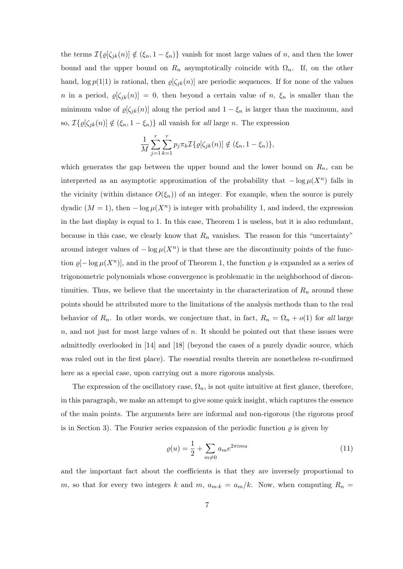the terms  $\mathcal{I}\{\varrho[\zeta_{jk}(n)] \notin (\xi_n, 1 - \xi_n)\}\$  vanish for most large values of n, and then the lower bound and the upper bound on  $R_n$  asymptotically coincide with  $\Omega_n$ . If, on the other hand,  $\log p(1|1)$  is rational, then  $\varrho[\zeta_{jk}(n)]$  are periodic sequences. If for none of the values n in a period,  $\varrho[\zeta_{jk}(n)] = 0$ , then beyond a certain value of n,  $\xi_n$  is smaller than the minimum value of  $\varrho[\zeta_{jk}(n)]$  along the period and  $1 - \xi_n$  is larger than the maximum, and so,  $\mathcal{I}\{\varrho[\zeta_{jk}(n)] \notin (\xi_n, 1 - \xi_n)\}\$ all vanish for all large n. The expression

$$
\frac{1}{M} \sum_{j=1}^r \sum_{k=1}^r p_j \pi_k \mathcal{I} \{ \varrho[\zeta_{jk}(n)] \notin (\xi_n, 1 - \xi_n) \},
$$

which generates the gap between the upper bound and the lower bound on  $R_n$ , can be interpreted as an asymptotic approximation of the probability that  $-\log \mu(X^n)$  falls in the vicinity (within distance  $O(\xi_n)$ ) of an integer. For example, when the source is purely dyadic  $(M = 1)$ , then  $-\log \mu(X^n)$  is integer with probability 1, and indeed, the expression in the last display is equal to 1. In this case, Theorem 1 is useless, but it is also redundant, because in this case, we clearly know that  $R_n$  vanishes. The reason for this "uncertainty" around integer values of  $-\log \mu(X^n)$  is that these are the discontinuity points of the function  $\varrho[-\log \mu(X^n)]$ , and in the proof of Theorem 1, the function  $\varrho$  is expanded as a series of trigonometric polynomials whose convergence is problematic in the neighborhood of discontinuities. Thus, we believe that the uncertainty in the characterization of  $R_n$  around these points should be attributed more to the limitations of the analysis methods than to the real behavior of  $R_n$ . In other words, we conjecture that, in fact,  $R_n = \Omega_n + o(1)$  for all large  $n$ , and not just for most large values of n. It should be pointed out that these issues were admittedly overlooked in [14] and [18] (beyond the cases of a purely dyadic source, which was ruled out in the first place). The essential results therein are nonetheless re-confirmed here as a special case, upon carrying out a more rigorous analysis.

The expression of the oscillatory case,  $\Omega_n$ , is not quite intuitive at first glance, therefore, in this paragraph, we make an attempt to give some quick insight, which captures the essence of the main points. The arguments here are informal and non-rigorous (the rigorous proof is in Section 3). The Fourier series expansion of the periodic function  $\rho$  is given by

$$
\varrho(u) = \frac{1}{2} + \sum_{m \neq 0} a_m e^{2\pi imu} \tag{11}
$$

and the important fact about the coefficients is that they are inversely proportional to m, so that for every two integers k and m,  $a_{m \cdot k} = a_m/k$ . Now, when computing  $R_n =$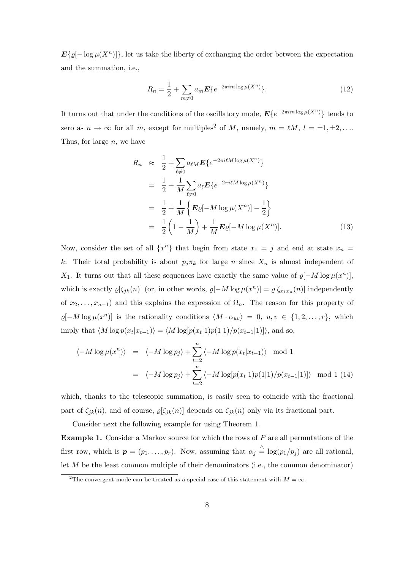$\mathbf{E}\{\varrho[-\log \mu(X^n)]\},\$ let us take the liberty of exchanging the order between the expectation and the summation, i.e.,

$$
R_n = \frac{1}{2} + \sum_{m \neq 0} a_m \mathbf{E} \{ e^{-2\pi i m \log \mu(X^n)} \}.
$$
 (12)

It turns out that under the conditions of the oscillatory mode,  $E\{e^{-2\pi im \log \mu(X^n)}\}\)$  tends to zero as  $n \to \infty$  for all m, except for multiples<sup>2</sup> of M, namely,  $m = \ell M$ ,  $l = \pm 1, \pm 2, \ldots$ Thus, for large  $n$ , we have

$$
R_n \approx \frac{1}{2} + \sum_{\ell \neq 0} a_{\ell M} \mathbf{E} \{ e^{-2\pi i \ell M \log \mu(X^n)} \}
$$
  
=  $\frac{1}{2} + \frac{1}{M} \sum_{\ell \neq 0} a_{\ell} \mathbf{E} \{ e^{-2\pi i \ell M \log \mu(X^n)} \}$   
=  $\frac{1}{2} + \frac{1}{M} \{ \mathbf{E} \varrho[-M \log \mu(X^n)] - \frac{1}{2} \}$   
=  $\frac{1}{2} (1 - \frac{1}{M}) + \frac{1}{M} \mathbf{E} \varrho[-M \log \mu(X^n)].$  (13)

Now, consider the set of all  $\{x^n\}$  that begin from state  $x_1 = j$  and end at state  $x_n = j$ k. Their total probability is about  $p_j \pi_k$  for large n since  $X_n$  is almost independent of X<sub>1</sub>. It turns out that all these sequences have exactly the same value of  $\varrho[-M \log \mu(x^n)]$ , which is exactly  $\varrho[\zeta_{jk}(n)]$  (or, in other words,  $\varrho[-M \log \mu(x^n)] = \varrho[\zeta_{x_1x_n}(n)]$  independently of  $x_2, \ldots, x_{n-1}$  and this explains the expression of  $\Omega_n$ . The reason for this property of  $\varrho[-M \log \mu(x^n)]$  is the rationality conditions  $\langle M \cdot \alpha_{uv} \rangle = 0, u, v \in \{1, 2, ..., r\},\$  which imply that  $\langle M \log p(x_t|x_{t-1}) \rangle = \langle M \log [p(x_t|1)p(1|1)/p(x_{t-1}|1)] \rangle$ , and so,

$$
\langle -M \log \mu(x^n) \rangle = \langle -M \log p_j \rangle + \sum_{t=2}^n \langle -M \log p(x_t | x_{t-1}) \rangle \mod 1
$$
  
=  $\langle -M \log p_j \rangle + \sum_{t=2}^n \langle -M \log [p(x_t | 1) p(1 | 1) / p(x_{t-1} | 1)] \rangle \mod 1$  (14)

which, thanks to the telescopic summation, is easily seen to coincide with the fractional part of  $\zeta_{jk}(n)$ , and of course,  $\varrho[\zeta_{jk}(n)]$  depends on  $\zeta_{jk}(n)$  only via its fractional part.

Consider next the following example for using Theorem 1.

**Example 1.** Consider a Markov source for which the rows of  $P$  are all permutations of the first row, which is  $p = (p_1, \ldots, p_r)$ . Now, assuming that  $\alpha_j \stackrel{\triangle}{=} \log(p_1/p_j)$  are all rational, let  $M$  be the least common multiple of their denominators (i.e., the common denominator)

<sup>&</sup>lt;sup>2</sup>The convergent mode can be treated as a special case of this statement with  $M = \infty$ .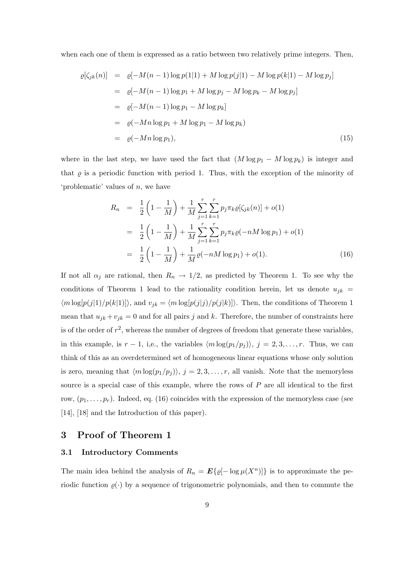when each one of them is expressed as a ratio between two relatively prime integers. Then,

$$
\varrho[\zeta_{jk}(n)] = \varrho[-M(n-1)\log p(1|1) + M \log p(j|1) - M \log p(k|1) - M \log p_j]
$$
  
\n
$$
= \varrho[-M(n-1)\log p_1 + M \log p_j - M \log p_k - M \log p_j]
$$
  
\n
$$
= \varrho[-M(n-1)\log p_1 - M \log p_k]
$$
  
\n
$$
= \varrho(-Mn \log p_1 + M \log p_1 - M \log p_k)
$$
  
\n
$$
= \varrho(-Mn \log p_1), \qquad (15)
$$

where in the last step, we have used the fact that  $(M \log p_1 - M \log p_k)$  is integer and that  $\varrho$  is a periodic function with period 1. Thus, with the exception of the minority of 'problematic' values of n, we have

$$
R_n = \frac{1}{2} \left( 1 - \frac{1}{M} \right) + \frac{1}{M} \sum_{j=1}^r \sum_{k=1}^r p_j \pi_k \varrho [\zeta_{jk}(n)] + o(1)
$$
  
\n
$$
= \frac{1}{2} \left( 1 - \frac{1}{M} \right) + \frac{1}{M} \sum_{j=1}^r \sum_{k=1}^r p_j \pi_k \varrho(-nM \log p_1) + o(1)
$$
  
\n
$$
= \frac{1}{2} \left( 1 - \frac{1}{M} \right) + \frac{1}{M} \varrho(-nM \log p_1) + o(1).
$$
 (16)

If not all  $\alpha_j$  are rational, then  $R_n \to 1/2$ , as predicted by Theorem 1. To see why the conditions of Theorem 1 lead to the rationality condition herein, let us denote  $u_{jk}$  =  $\langle m \log[p(j|1)/p(k|1)]\rangle$ , and  $v_{jk} = \langle m \log[p(j|j)/p(j|k)]\rangle$ . Then, the conditions of Theorem 1 mean that  $u_{jk} + v_{jk} = 0$  and for all pairs j and k. Therefore, the number of constraints here is of the order of  $r^2$ , whereas the number of degrees of freedom that generate these variables, in this example, is  $r - 1$ , i,e., the variables  $\langle m \log(p_1/p_j) \rangle$ ,  $j = 2, 3, \ldots, r$ . Thus, we can think of this as an overdetermined set of homogeneous linear equations whose only solution is zero, meaning that  $\langle m \log(p_1/p_j) \rangle$ ,  $j = 2, 3, \ldots, r$ , all vanish. Note that the memoryless source is a special case of this example, where the rows of  $P$  are all identical to the first row,  $(p_1, \ldots, p_r)$ . Indeed, eq. (16) coincides with the expression of the memoryless case (see [14], [18] and the Introduction of this paper).

# 3 Proof of Theorem 1

#### 3.1 Introductory Comments

The main idea behind the analysis of  $R_n = \mathbf{E}\{\varrho[-\log \mu(X^n)]\}$  is to approximate the periodic function  $\varrho(\cdot)$  by a sequence of trigonometric polynomials, and then to commute the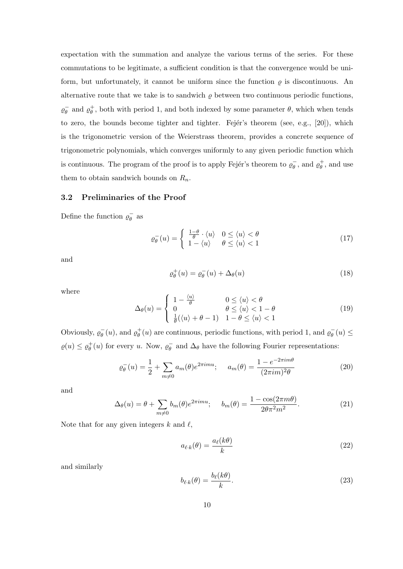expectation with the summation and analyze the various terms of the series. For these commutations to be legitimate, a sufficient condition is that the convergence would be uniform, but unfortunately, it cannot be uniform since the function  $\rho$  is discontinuous. An alternative route that we take is to sandwich  $\varrho$  between two continuous periodic functions,  $\varrho_{\theta}^ \bar{\theta}$  and  $\varrho_{\theta}^{+}$ , both with period 1, and both indexed by some parameter  $\theta$ , which when tends to zero, the bounds become tighter and tighter. Fejér's theorem (see, e.g.,  $[20]$ ), which is the trigonometric version of the Weierstrass theorem, provides a concrete sequence of trigonometric polynomials, which converges uniformly to any given periodic function which is continuous. The program of the proof is to apply Fejér's theorem to  $\varrho_{\theta}$  $\bar{\theta}_{\theta}$ , and use them to obtain sandwich bounds on  $R_n$ .

## 3.2 Preliminaries of the Proof

Define the function  $\varrho_{\theta}^ \bar{\theta}$  as

$$
\varrho_{\theta}^{-}(u) = \begin{cases} \frac{1-\theta}{\theta} \cdot \langle u \rangle & 0 \le \langle u \rangle < \theta \\ 1 - \langle u \rangle & \theta \le \langle u \rangle < 1 \end{cases}
$$
(17)

and

$$
\varrho_{\theta}^{+}(u) = \varrho_{\theta}^{-}(u) + \Delta_{\theta}(u) \tag{18}
$$

where

$$
\Delta_{\theta}(u) = \begin{cases}\n1 - \frac{\langle u \rangle}{\theta} & 0 \le \langle u \rangle < \theta \\
0 & \theta \le \langle u \rangle < 1 - \theta \\
\frac{1}{\theta}(\langle u \rangle + \theta - 1) & 1 - \theta \le \langle u \rangle < 1\n\end{cases}
$$
\n(19)

Obviously,  $\varrho_{\theta}^{-}$  $\bar{\theta}(u)$ , and  $\varrho_{\theta}^{+}(u)$  are continuous, periodic functions, with period 1, and  $\varrho_{\theta}^{-}$  $\overline{\theta}(u) \leq$  $\varrho(u)\leq \varrho_\theta^+(u)$  for every  $u.$  Now,  $\varrho_\theta^ \bar{\theta}_{\theta}$  and  $\Delta_{\theta}$  have the following Fourier representations:

$$
\varrho_{\theta}^{-}(u) = \frac{1}{2} + \sum_{m \neq 0} a_{m}(\theta) e^{2\pi imu}; \quad a_{m}(\theta) = \frac{1 - e^{-2\pi im\theta}}{(2\pi im)^{2}\theta}
$$
(20)

and

$$
\Delta_{\theta}(u) = \theta + \sum_{m \neq 0} b_m(\theta) e^{2\pi imu}; \quad b_m(\theta) = \frac{1 - \cos(2\pi m\theta)}{2\theta \pi^2 m^2}.
$$
 (21)

Note that for any given integers  $k$  and  $\ell$ ,

$$
a_{\ell \cdot k}(\theta) = \frac{a_{\ell}(k\theta)}{k} \tag{22}
$$

and similarly

$$
b_{\ell,k}(\theta) = \frac{b_{\ell}(k\theta)}{k}.
$$
\n(23)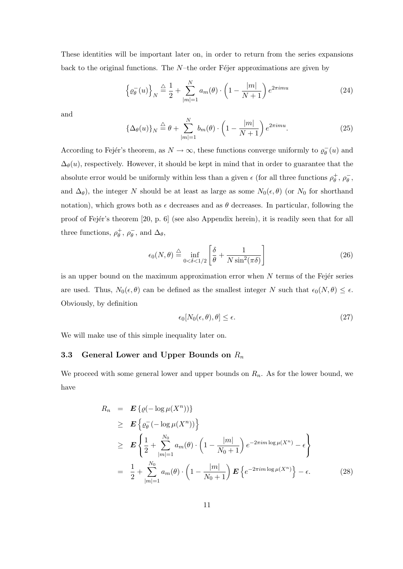These identities will be important later on, in order to return from the series expansions back to the original functions. The  $N$ –the order F $\acute{e}$ jer approximations are given by

$$
\left\{\varrho_{\theta}^{-}(u)\right\}_{N} \stackrel{\triangle}{=} \frac{1}{2} + \sum_{|m|=1}^{N} a_m(\theta) \cdot \left(1 - \frac{|m|}{N+1}\right) e^{2\pi imu}
$$
\n(24)

and

$$
\left\{\Delta_{\theta}(u)\right\}_{N} \stackrel{\triangle}{=} \theta + \sum_{|m|=1}^{N} b_m(\theta) \cdot \left(1 - \frac{|m|}{N+1}\right) e^{2\pi imu}.\tag{25}
$$

According to Fejér's theorem, as  $N \to \infty$ , these functions converge uniformly to  $\varrho_{\theta}$  $\bar{\theta}(u)$  and  $\Delta_{\theta}(u)$ , respectively. However, it should be kept in mind that in order to guarantee that the absolute error would be uniformly within less than a given  $\epsilon$  (for all three functions  $\rho_{\theta}^+$ ,  $\rho_{\theta}^-$ )  $\bar{\theta}$ , and  $\Delta_{\theta}$ ), the integer N should be at least as large as some  $N_0(\epsilon, \theta)$  (or  $N_0$  for shorthand notation), which grows both as  $\epsilon$  decreases and as  $\theta$  decreases. In particular, following the proof of Fejér's theorem [20, p. 6] (see also Appendix herein), it is readily seen that for all three functions,  $\rho_{\theta}^{+}$ ,  $\rho_{\theta}^{-}$  $\bar{\theta}$ , and  $\Delta_{\theta}$ ,

$$
\epsilon_0(N,\theta) \stackrel{\triangle}{=} \inf_{0 < \delta < 1/2} \left[ \frac{\delta}{\theta} + \frac{1}{N \sin^2(\pi \delta)} \right] \tag{26}
$$

is an upper bound on the maximum approximation error when  $N$  terms of the Fejér series are used. Thus,  $N_0(\epsilon, \theta)$  can be defined as the smallest integer N such that  $\epsilon_0(N, \theta) \leq \epsilon$ . Obviously, by definition

$$
\epsilon_0[N_0(\epsilon,\theta),\theta] \le \epsilon. \tag{27}
$$

We will make use of this simple inequality later on.

# 3.3 General Lower and Upper Bounds on  $R_n$

We proceed with some general lower and upper bounds on  $R_n$ . As for the lower bound, we have

$$
R_n = \mathbf{E} \{ \varrho(-\log \mu(X^n)) \}
$$
  
\n
$$
\geq \mathbf{E} \{ \varrho_{\theta}^{-}(-\log \mu(X^n)) \}
$$
  
\n
$$
\geq \mathbf{E} \{ \frac{1}{2} + \sum_{|m|=1}^{N_0} a_m(\theta) \cdot \left( 1 - \frac{|m|}{N_0 + 1} \right) e^{-2\pi i m \log \mu(X^n)} - \epsilon \}
$$
  
\n
$$
= \frac{1}{2} + \sum_{|m|=1}^{N_0} a_m(\theta) \cdot \left( 1 - \frac{|m|}{N_0 + 1} \right) \mathbf{E} \{ e^{-2\pi i m \log \mu(X^n)} \} - \epsilon.
$$
 (28)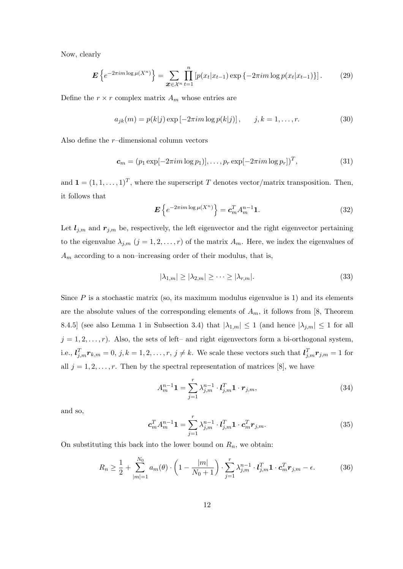Now, clearly

$$
\mathbf{E}\left\{e^{-2\pi im\log\mu(X^n)}\right\} = \sum_{\mathbf{x}\in\mathcal{X}^n} \prod_{t=1}^n \left[p(x_t|x_{t-1})\exp\left\{-2\pi im\log p(x_t|x_{t-1})\right\}\right].\tag{29}
$$

Define the  $r \times r$  complex matrix  $A_m$  whose entries are

$$
a_{jk}(m) = p(k|j) \exp[-2\pi im \log p(k|j)], \qquad j, k = 1, ..., r.
$$
 (30)

Also define the  $r$ -dimensional column vectors

$$
\mathbf{c}_m = (p_1 \exp[-2\pi i m \log p_1)], \dots, p_r \exp[-2\pi i m \log p_r])^T, \tag{31}
$$

and  $\mathbf{1} = (1, 1, \ldots, 1)^T$ , where the superscript T denotes vector/matrix transposition. Then, it follows that

$$
\boldsymbol{E}\left\{e^{-2\pi im\log\mu(X^n)}\right\} = \boldsymbol{c}_m^T A_m^{n-1} \mathbf{1}.
$$
 (32)

Let  $l_{j,m}$  and  $r_{j,m}$  be, respectively, the left eigenvector and the right eigenvector pertaining to the eigenvalue  $\lambda_{j,m}$   $(j = 1, 2, \ldots, r)$  of the matrix  $A_m$ . Here, we index the eigenvalues of  $A_m$  according to a non–increasing order of their modulus, that is,

$$
|\lambda_{1,m}| \ge |\lambda_{2,m}| \ge \dots \ge |\lambda_{r,m}|. \tag{33}
$$

Since  $P$  is a stochastic matrix (so, its maximum modulus eigenvalue is 1) and its elements are the absolute values of the corresponding elements of  $A_m$ , it follows from [8, Theorem 8.4.5] (see also Lemma 1 in Subsection 3.4) that  $|\lambda_{1,m}| \leq 1$  (and hence  $|\lambda_{j,m}| \leq 1$  for all  $j = 1, 2, \ldots, r$ . Also, the sets of left– and right eigenvectors form a bi-orthogonal system, i.e.,  $l_{j,m}^T r_{k,m} = 0, j, k = 1, 2, \ldots, r, j \neq k$ . We scale these vectors such that  $l_{j,m}^T r_{j,m} = 1$  for all  $j = 1, 2, \ldots, r$ . Then by the spectral representation of matrices [8], we have

$$
A_{m}^{n-1} \mathbf{1} = \sum_{j=1}^{r} \lambda_{j,m}^{n-1} \cdot l_{j,m}^{T} \mathbf{1} \cdot \mathbf{r}_{j,m},
$$
\n(34)

and so,

$$
\mathbf{c}_m^T A_m^{n-1} \mathbf{1} = \sum_{j=1}^r \lambda_{j,m}^{n-1} \cdot \mathbf{l}_{j,m}^T \mathbf{1} \cdot \mathbf{c}_m^T \mathbf{r}_{j,m}.
$$
 (35)

On substituting this back into the lower bound on  $R_n$ , we obtain:

$$
R_n \ge \frac{1}{2} + \sum_{|m|=1}^{N_0} a_m(\theta) \cdot \left(1 - \frac{|m|}{N_0 + 1}\right) \cdot \sum_{j=1}^r \lambda_{j,m}^{n-1} \cdot \mathbf{I}_{j,m}^T \mathbf{1} \cdot \mathbf{c}_m^T \mathbf{r}_{j,m} - \epsilon.
$$
 (36)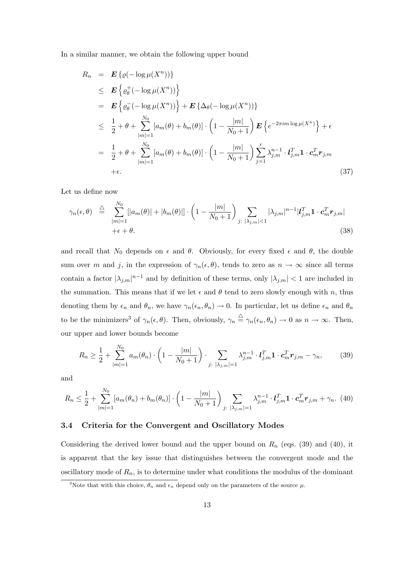In a similar manner, we obtain the following upper bound

$$
R_n = \mathbf{E} \{ \varrho(-\log \mu(X^n)) \}
$$
  
\n
$$
\leq \mathbf{E} \{ \varrho_{\theta}^+ (-\log \mu(X^n)) \}
$$
  
\n
$$
= \mathbf{E} \{ \varrho_{\theta}^- (-\log \mu(X^n)) \} + \mathbf{E} \{ \Delta_{\theta}(-\log \mu(X^n)) \}
$$
  
\n
$$
\leq \frac{1}{2} + \theta + \sum_{|m|=1}^{N_0} [a_m(\theta) + b_m(\theta)] \cdot \left( 1 - \frac{|m|}{N_0 + 1} \right) \mathbf{E} \{ e^{-2\pi i m \log \mu(X^n)} \} + \epsilon
$$
  
\n
$$
= \frac{1}{2} + \theta + \sum_{|m|=1}^{N_0} [a_m(\theta) + b_m(\theta)] \cdot \left( 1 - \frac{|m|}{N_0 + 1} \right) \sum_{j=1}^r \lambda_{j,m}^{n-1} \cdot l_{j,m}^T \mathbf{1} \cdot \mathbf{c}_m^T \mathbf{r}_{j,m}
$$
  
\n
$$
+ \epsilon.
$$
\n(37)

Let us define now

$$
\gamma_n(\epsilon,\theta) \stackrel{\triangle}{=} \sum_{\substack{|m|=1}}^{N_0} [|a_m(\theta)| + |b_m(\theta)|] \cdot \left(1 - \frac{|m|}{N_0 + 1}\right) \sum_{j: |\lambda_{j,m}| < 1} |\lambda_{j,m}|^{n-1} |l_{j,m}^T \mathbf{1} \cdot \mathbf{c}_m^T \mathbf{r}_{j,m}|
$$
\n
$$
+ \epsilon + \theta. \tag{38}
$$

and recall that  $N_0$  depends on  $\epsilon$  and  $\theta$ . Obviously, for every fixed  $\epsilon$  and  $\theta$ , the double sum over m and j, in the expression of  $\gamma_n(\epsilon, \theta)$ , tends to zero as  $n \to \infty$  since all terms contain a factor  $|\lambda_{j,m}|^{n-1}$  and by definition of these terms, only  $|\lambda_{j,m}| < 1$  are included in the summation. This means that if we let  $\epsilon$  and  $\theta$  tend to zero slowly enough with n, thus denoting them by  $\epsilon_n$  and  $\theta_n$ , we have  $\gamma_n(\epsilon_n, \theta_n) \to 0$ . In particular, let us define  $\epsilon_n$  and  $\theta_n$ to be the minimizers<sup>3</sup> of  $\gamma_n(\epsilon, \theta)$ . Then, obviously,  $\gamma_n \triangleq \gamma_n(\epsilon_n, \theta_n) \to 0$  as  $n \to \infty$ . Then, our upper and lower bounds become

$$
R_n \ge \frac{1}{2} + \sum_{|m|=1}^{N_0} a_m(\theta_n) \cdot \left(1 - \frac{|m|}{N_0 + 1}\right) \cdot \sum_{j: |\lambda_{j,m}| = 1} \lambda_{j,m}^{n-1} \cdot l_{j,m}^T \mathbf{1} \cdot \mathbf{c}_m^T \mathbf{r}_{j,m} - \gamma_n,\tag{39}
$$

and

$$
R_n \leq \frac{1}{2} + \sum_{|m|=1}^{N_0} [a_m(\theta_n) + b_m(\theta_n)] \cdot \left(1 - \frac{|m|}{N_0 + 1}\right) \sum_{j: |\lambda_{j,m}| = 1} \lambda_{j,m}^{n-1} \cdot l_{j,m}^T \mathbf{1} \cdot \mathbf{c}_m^T \mathbf{r}_{j,m} + \gamma_n. \tag{40}
$$

## 3.4 Criteria for the Convergent and Oscillatory Modes

Considering the derived lower bound and the upper bound on  $R_n$  (eqs. (39) and (40), it is apparent that the key issue that distinguishes between the convergent mode and the oscillatory mode of  $R_n$ , is to determine under what conditions the modulus of the dominant

<sup>&</sup>lt;sup>3</sup>Note that with this choice,  $\theta_n$  and  $\epsilon_n$  depend only on the parameters of the source  $\mu$ .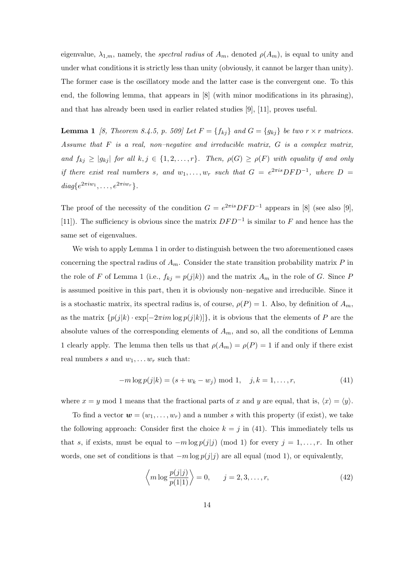eigenvalue,  $\lambda_{1,m}$ , namely, the *spectral radius* of  $A_m$ , denoted  $\rho(A_m)$ , is equal to unity and under what conditions it is strictly less than unity (obviously, it cannot be larger than unity). The former case is the oscillatory mode and the latter case is the convergent one. To this end, the following lemma, that appears in [8] (with minor modifications in its phrasing), and that has already been used in earlier related studies [9], [11], proves useful.

**Lemma 1** [8, Theorem 8.4.5, p. 509] Let  $F = \{f_{kj}\}\$ and  $G = \{g_{kj}\}\$ be two  $r \times r$  matrices. Assume that F is a real, non–negative and irreducible matrix, G is a complex matrix, and  $f_{kj} \ge |g_{kj}|$  for all  $k, j \in \{1, 2, ..., r\}$ . Then,  $\rho(G) \ge \rho(F)$  with equality if and only if there exist real numbers s, and  $w_1, \ldots, w_r$  such that  $G = e^{2\pi i s} DFD^{-1}$ , where  $D =$ diag $\{e^{2\pi i w_1}, \ldots, e^{2\pi i w_r}\}.$ 

The proof of the necessity of the condition  $G = e^{2\pi i s} DFD^{-1}$  appears in [8] (see also [9], [11]). The sufficiency is obvious since the matrix  $DFD^{-1}$  is similar to F and hence has the same set of eigenvalues.

We wish to apply Lemma 1 in order to distinguish between the two aforementioned cases concerning the spectral radius of  $A_m$ . Consider the state transition probability matrix P in the role of F of Lemma 1 (i.e.,  $f_{kj} = p(j|k)$ ) and the matrix  $A_m$  in the role of G. Since P is assumed positive in this part, then it is obviously non–negative and irreducible. Since it is a stochastic matrix, its spectral radius is, of course,  $\rho(P) = 1$ . Also, by definition of  $A_m$ , as the matrix  $\{p(j|k) \cdot \exp[-2\pi im \log p(j|k)]\}$ , it is obvious that the elements of P are the absolute values of the corresponding elements of  $A_m$ , and so, all the conditions of Lemma 1 clearly apply. The lemma then tells us that  $\rho(A_m) = \rho(P) = 1$  if and only if there exist real numbers s and  $w_1, \ldots w_r$  such that:

$$
-m \log p(j|k) = (s + w_k - w_j) \mod 1, \quad j, k = 1, \dots, r,
$$
\n(41)

where  $x = y \mod 1$  means that the fractional parts of x and y are equal, that is,  $\langle x \rangle = \langle y \rangle$ .

To find a vector  $\mathbf{w} = (w_1, \ldots, w_r)$  and a number s with this property (if exist), we take the following approach: Consider first the choice  $k = j$  in (41). This immediately tells us that s, if exists, must be equal to  $-m \log p(j|j)$  (mod 1) for every  $j = 1, \ldots, r$ . In other words, one set of conditions is that  $-m \log p(j|j)$  are all equal (mod 1), or equivalently,

$$
\left\langle m \log \frac{p(j|j)}{p(1|1)} \right\rangle = 0, \qquad j = 2, 3, \dots, r,
$$
\n(42)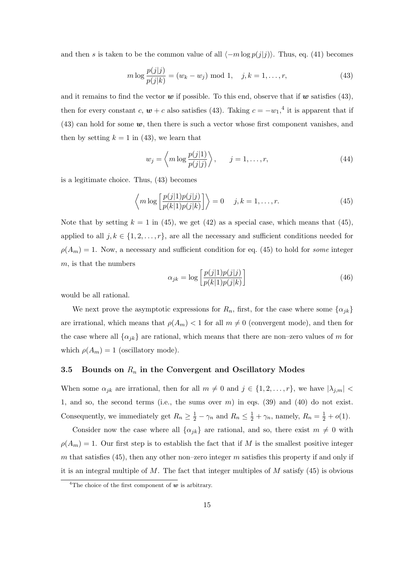and then s is taken to be the common value of all  $\langle -m \log p(j|j)\rangle$ . Thus, eq. (41) becomes

$$
m \log \frac{p(j|j)}{p(j|k)} = (w_k - w_j) \text{ mod } 1, \quad j, k = 1, ..., r,
$$
 (43)

and it remains to find the vector  $w$  if possible. To this end, observe that if w satisfies (43), then for every constant c,  $w + c$  also satisfies (43). Taking  $c = -w_1$ ,<sup>4</sup> it is apparent that if  $(43)$  can hold for some  $w$ , then there is such a vector whose first component vanishes, and then by setting  $k = 1$  in (43), we learn that

$$
w_j = \left\langle m \log \frac{p(j|1)}{p(j|j)} \right\rangle, \qquad j = 1, \dots, r,
$$
\n(44)

is a legitimate choice. Thus, (43) becomes

$$
\left\langle m \log \left[ \frac{p(j|1)p(j|j)}{p(k|1)p(j|k)} \right] \right\rangle = 0 \quad j, k = 1, \dots, r. \tag{45}
$$

Note that by setting  $k = 1$  in (45), we get (42) as a special case, which means that (45), applied to all  $j, k \in \{1, 2, \ldots, r\}$ , are all the necessary and sufficient conditions needed for  $\rho(A_m) = 1$ . Now, a necessary and sufficient condition for eq. (45) to hold for *some* integer m, is that the numbers

$$
\alpha_{jk} = \log \left[ \frac{p(j|1)p(j|j)}{p(k|1)p(j|k)} \right] \tag{46}
$$

would be all rational.

We next prove the asymptotic expressions for  $R_n$ , first, for the case where some  $\{\alpha_{jk}\}$ are irrational, which means that  $\rho(A_m) < 1$  for all  $m \neq 0$  (convergent mode), and then for the case where all  $\{\alpha_{jk}\}\$ are rational, which means that there are non–zero values of m for which  $\rho(A_m) = 1$  (oscillatory mode).

## 3.5 Bounds on  $R_n$  in the Convergent and Oscillatory Modes

When some  $\alpha_{jk}$  are irrational, then for all  $m \neq 0$  and  $j \in \{1, 2, \ldots, r\}$ , we have  $|\lambda_{j,m}| <$ 1, and so, the second terms (i.e., the sums over  $m$ ) in eqs. (39) and (40) do not exist. Consequently, we immediately get  $R_n \geq \frac{1}{2} - \gamma_n$  and  $R_n \leq \frac{1}{2} + \gamma_n$ , namely,  $R_n = \frac{1}{2} + o(1)$ .

Consider now the case where all  $\{\alpha_{jk}\}\$ are rational, and so, there exist  $m \neq 0$  with  $\rho(A_m) = 1$ . Our first step is to establish the fact that if M is the smallest positive integer m that satisfies (45), then any other non–zero integer m satisfies this property if and only if it is an integral multiple of M. The fact that integer multiples of  $M$  satisfy (45) is obvious

<sup>&</sup>lt;sup>4</sup>The choice of the first component of  $w$  is arbitrary.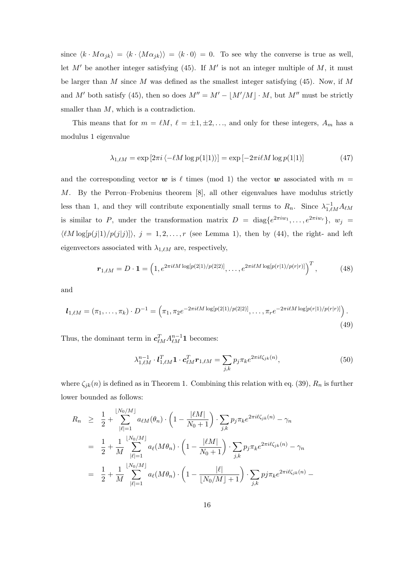since  $\langle k \cdot M\alpha_{jk}\rangle = \langle k \cdot \langle M\alpha_{jk}\rangle \rangle = \langle k \cdot 0\rangle = 0$ . To see why the converse is true as well, let  $M'$  be another integer satisfying (45). If  $M'$  is not an integer multiple of  $M$ , it must be larger than  $M$  since  $M$  was defined as the smallest integer satisfying (45). Now, if  $M$ and M' both satisfy (45), then so does  $M'' = M' - \lfloor M'/M \rfloor \cdot M$ , but  $M''$  must be strictly smaller than  $M$ , which is a contradiction.

This means that for  $m = \ell M$ ,  $\ell = \pm 1, \pm 2, \ldots$ , and only for these integers,  $A_m$  has a modulus 1 eigenvalue

$$
\lambda_{1,\ell M} = \exp\left[2\pi i \left\langle -\ell M \log p(1|1)\right\rangle\right] = \exp\left[-2\pi i \ell M \log p(1|1)\right] \tag{47}
$$

and the corresponding vector w is  $\ell$  times (mod 1) the vector w associated with  $m =$ M. By the Perron–Frobenius theorem [8], all other eigenvalues have modulus strictly less than 1, and they will contribute exponentially small terms to  $R_n$ . Since  $\lambda_{1,\ell,M}^{-1}A_{\ell,M}$ is similar to P, under the transformation matrix  $D = \text{diag}\{e^{2\pi i w_1}, \dots, e^{2\pi i w_r}\}, w_j =$  $\langle \ell M \log[p(j|1)/p(j|j)] \rangle$ ,  $j = 1, 2, ..., r$  (see Lemma 1), then by (44), the right- and left eigenvectors associated with  $\lambda_{1,\ell M}$  are, respectively,

$$
\boldsymbol{r}_{1,\ell M} = D \cdot \mathbf{1} = \left( 1, e^{2\pi i \ell M \log[p(2|1)/p(2|2)]}, \dots, e^{2\pi i \ell M \log[p(r|1)/p(r|r)]} \right)^T, \tag{48}
$$

and

$$
\boldsymbol{l}_{1,\ell M} = (\pi_1, \dots, \pi_k) \cdot D^{-1} = \left( \pi_1, \pi_2 e^{-2\pi i \ell M \log[p(2|1)/p(2|2)]}, \dots, \pi_r e^{-2\pi i \ell M \log[p(r|1)/p(r|r)]} \right).
$$
\n(49)

Thus, the dominant term in  $c_{\ell M}^T A_{\ell M}^{n-1} \mathbf{1}$  becomes:

$$
\lambda_{1,\ell M}^{n-1} \cdot \mathbf{l}_{1,\ell M}^T \mathbf{1} \cdot \mathbf{c}_{\ell M}^T \mathbf{r}_{1,\ell M} = \sum_{j,k} p_j \pi_k e^{2\pi i \ell \zeta_{jk}(n)},\tag{50}
$$

where  $\zeta_{jk}(n)$  is defined as in Theorem 1. Combining this relation with eq. (39),  $R_n$  is further lower bounded as follows:

$$
R_n \geq \frac{1}{2} + \sum_{|\ell|=1}^{\lfloor N_0/M \rfloor} a_{\ell M}(\theta_n) \cdot \left(1 - \frac{|\ell M|}{N_0 + 1}\right) \cdot \sum_{j,k} p_j \pi_k e^{2\pi i \ell \zeta_{jk}(n)} - \gamma_n
$$
  

$$
= \frac{1}{2} + \frac{1}{M} \sum_{|\ell|=1}^{\lfloor N_0/M \rfloor} a_{\ell}(M\theta_n) \cdot \left(1 - \frac{|\ell M|}{N_0 + 1}\right) \cdot \sum_{j,k} p_j \pi_k e^{2\pi i \ell \zeta_{jk}(n)} - \gamma_n
$$
  

$$
= \frac{1}{2} + \frac{1}{M} \sum_{|\ell|=1}^{\lfloor N_0/M \rfloor} a_{\ell}(M\theta_n) \cdot \left(1 - \frac{|\ell|}{\lfloor N_0/M \rfloor + 1}\right) \cdot \sum_{j,k} p_j \pi_k e^{2\pi i \ell \zeta_{jk}(n)} -
$$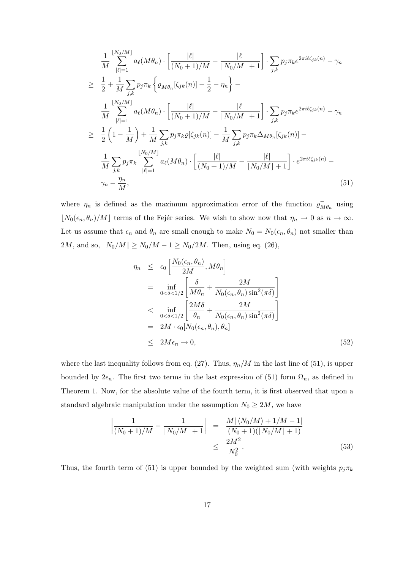$$
\frac{1}{M} \sum_{|\ell|=1}^{[N_0/M]} a_{\ell}(M\theta_n) \cdot \left[ \frac{|\ell|}{(N_0+1)/M} - \frac{|\ell|}{[N_0/M]+1} \right] \cdot \sum_{j,k} p_j \pi_k e^{2\pi i \ell \zeta_{jk}(n)} - \gamma_n
$$
\n
$$
\geq \frac{1}{2} + \frac{1}{M} \sum_{j,k} p_j \pi_k \left\{ \varrho_{M\theta_n}^{-}[\zeta_{jk}(n)] - \frac{1}{2} - \eta_n \right\} -
$$
\n
$$
\frac{1}{M} \sum_{|\ell|=1}^{[N_0/M]} a_{\ell}(M\theta_n) \cdot \left[ \frac{|\ell|}{(N_0+1)/M} - \frac{|\ell|}{[N_0/M]+1} \right] \cdot \sum_{j,k} p_j \pi_k e^{2\pi i \ell \zeta_{jk}(n)} - \gamma_n
$$
\n
$$
\geq \frac{1}{2} \left( 1 - \frac{1}{M} \right) + \frac{1}{M} \sum_{j,k} p_j \pi_k \varrho[\zeta_{jk}(n)] - \frac{1}{M} \sum_{j,k} p_j \pi_k \Delta_{M\theta_n} [\zeta_{jk}(n)] -
$$
\n
$$
\frac{1}{M} \sum_{j,k} p_j \pi_k \sum_{|\ell|=1}^{[N_0/M]} a_{\ell}(M\theta_n) \cdot \left[ \frac{|\ell|}{(N_0+1)/M} - \frac{|\ell|}{[N_0/M]+1} \right] \cdot e^{2\pi i \ell \zeta_{jk}(n)} -
$$
\n
$$
\gamma_n - \frac{\eta_n}{M}, \tag{51}
$$

where  $\eta_n$  is defined as the maximum approximation error of the function  $\varrho$ <sup>7</sup>  $\bar{M}\theta_n$  using  $\lfloor N_0(\epsilon_n, \theta_n)/M \rfloor$  terms of the Fejér series. We wish to show now that  $\eta_n \to 0$  as  $n \to \infty$ . Let us assume that  $\epsilon_n$  and  $\theta_n$  are small enough to make  $N_0 = N_0(\epsilon_n, \theta_n)$  not smaller than  $2M$ , and so,  $\lfloor N_0/M \rfloor \ge N_0/M - 1 \ge N_0/2M$ . Then, using eq. (26),

$$
\eta_n \leq \epsilon_0 \left[ \frac{N_0(\epsilon_n, \theta_n)}{2M}, M\theta_n \right]
$$
  
\n
$$
= \inf_{0 < \delta < 1/2} \left[ \frac{\delta}{M\theta_n} + \frac{2M}{N_0(\epsilon_n, \theta_n) \sin^2(\pi \delta)} \right]
$$
  
\n
$$
< \inf_{0 < \delta < 1/2} \left[ \frac{2M\delta}{\theta_n} + \frac{2M}{N_0(\epsilon_n, \theta_n) \sin^2(\pi \delta)} \right]
$$
  
\n
$$
= 2M \cdot \epsilon_0 [N_0(\epsilon_n, \theta_n), \theta_n]
$$
  
\n
$$
\leq 2M\epsilon_n \to 0,
$$
 (52)

where the last inequality follows from eq. (27). Thus,  $\eta_n/M$  in the last line of (51), is upper bounded by  $2\epsilon_n$ . The first two terms in the last expression of (51) form  $\Omega_n$ , as defined in Theorem 1. Now, for the absolute value of the fourth term, it is first observed that upon a standard algebraic manipulation under the assumption  $N_0 \geq 2M$ , we have

$$
\left| \frac{1}{(N_0+1)/M} - \frac{1}{\lfloor N_0/M \rfloor + 1} \right| = \frac{M|\langle N_0/M \rangle + 1/M - 1|}{(N_0+1)(\lfloor N_0/M \rfloor + 1)} \le \frac{2M^2}{N_0^2}.
$$
\n(53)

Thus, the fourth term of (51) is upper bounded by the weighted sum (with weights  $p_j \pi_k$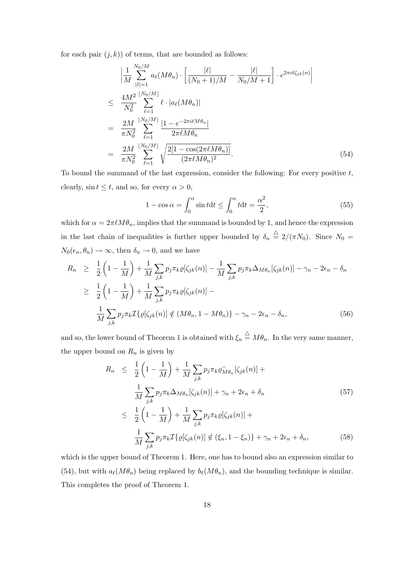for each pair  $(j, k)$  of terms, that are bounded as follows:

$$
\left| \frac{1}{M} \sum_{|\ell|=1}^{N_0/M} a_{\ell}(M\theta_n) \cdot \left[ \frac{|\ell|}{(N_0+1)/M} - \frac{|\ell|}{N_0/M+1} \right] \cdot e^{2\pi i \ell \zeta_{jk}(n)} \right|
$$
\n
$$
\leq \frac{4M^2}{N_0^2} \sum_{\ell=1}^{\lfloor N_0/M \rfloor} \ell \cdot |a_{\ell}(M\theta_n)|
$$
\n
$$
= \frac{2M}{\pi N_0^2} \sum_{\ell=1}^{\lfloor N_0/M \rfloor} \frac{|1 - e^{-2\pi i \ell M \theta_n}|}{2\pi \ell M \theta_n}
$$
\n
$$
= \frac{2M}{\pi N_0^2} \sum_{\ell=1}^{\lfloor N_0/M \rfloor} \sqrt{\frac{2[1 - \cos(2\pi \ell M \theta_n)]}{(2\pi \ell M \theta_n)^2}}.
$$
\n(54)

To bound the summand of the last expression, consider the following: For every positive  $t$ , clearly,  $\sin t \leq t$ , and so, for every  $\alpha > 0$ ,

$$
1 - \cos \alpha = \int_0^\alpha \sin t dt \le \int_0^\alpha t dt = \frac{\alpha^2}{2},\tag{55}
$$

which for  $\alpha = 2\pi \ell M \theta_n$ , implies that the summand is bounded by 1, and hence the expression in the last chain of inequalities is further upper bounded by  $\delta_n \stackrel{\triangle}{=} 2/(\pi N_0)$ . Since  $N_0 =$  $N_0(\epsilon_n, \theta_n) \to \infty$ , then  $\delta_n \to 0$ , and we have

$$
R_n \geq \frac{1}{2} \left( 1 - \frac{1}{M} \right) + \frac{1}{M} \sum_{j,k} p_j \pi_k \varrho[\zeta_{jk}(n)] - \frac{1}{M} \sum_{j,k} p_j \pi_k \Delta_{M\theta_n}[\zeta_{jk}(n)] - \gamma_n - 2\epsilon_n - \delta_n
$$
  
\n
$$
\geq \frac{1}{2} \left( 1 - \frac{1}{M} \right) + \frac{1}{M} \sum_{j,k} p_j \pi_k \varrho[\zeta_{jk}(n)] -
$$
  
\n
$$
\frac{1}{M} \sum_{j,k} p_j \pi_k \mathcal{I} \{ \varrho[\zeta_{jk}(n)] \notin (M\theta_n, 1 - M\theta_n) \} - \gamma_n - 2\epsilon_n - \delta_n,
$$
 (56)

and so, the lower bound of Theorem 1 is obtained with  $\xi_n \stackrel{\triangle}{=} M\theta_n$ . In the very same manner, the upper bound on  $R_n$  is given by

$$
R_n \leq \frac{1}{2} \left( 1 - \frac{1}{M} \right) + \frac{1}{M} \sum_{j,k} p_j \pi_k \varrho_{M\theta_n} \left[ \zeta_{jk}(n) \right] +
$$
  

$$
\frac{1}{M} \sum_{j,k} p_j \pi_k \Delta_{M\theta_n} \left[ \zeta_{jk}(n) \right] + \gamma_n + 2\epsilon_n + \delta_n
$$
  

$$
\leq \frac{1}{2} \left( 1 - \frac{1}{M} \right) + \frac{1}{M} \sum_{j,k} p_j \pi_k \varrho \left[ \zeta_{jk}(n) \right] +
$$
  

$$
\frac{1}{M} \sum_{j,k} p_j \pi_k \mathcal{I} \left\{ \varrho \left[ \zeta_{jk}(n) \right] \notin \left( \xi_n, 1 - \xi_n \right) \right\} + \gamma_n + 2\epsilon_n + \delta_n,
$$
 (58)

which is the upper bound of Theorem 1. Here, one has to bound also an expression similar to (54), but with  $a_{\ell}(M\theta_n)$  being replaced by  $b_{\ell}(M\theta_n)$ , and the bounding technique is similar. This completes the proof of Theorem 1.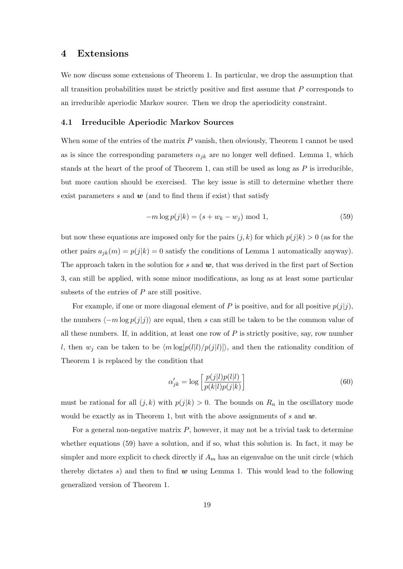# 4 Extensions

We now discuss some extensions of Theorem 1. In particular, we drop the assumption that all transition probabilities must be strictly positive and first assume that  $P$  corresponds to an irreducible aperiodic Markov source. Then we drop the aperiodicity constraint.

## 4.1 Irreducible Aperiodic Markov Sources

When some of the entries of the matrix  $P$  vanish, then obviously, Theorem 1 cannot be used as is since the corresponding parameters  $\alpha_{jk}$  are no longer well defined. Lemma 1, which stands at the heart of the proof of Theorem 1, can still be used as long as  $P$  is irreducible. but more caution should be exercised. The key issue is still to determine whether there exist parameters s and  $w$  (and to find them if exist) that satisfy

$$
-m\log p(j|k) = (s + w_k - w_j) \mod 1,
$$
\n(59)

but now these equations are imposed only for the pairs  $(j, k)$  for which  $p(j|k) > 0$  (as for the other pairs  $a_{jk}(m) = p(j|k) = 0$  satisfy the conditions of Lemma 1 automatically anyway). The approach taken in the solution for s and  $w$ , that was derived in the first part of Section 3, can still be applied, with some minor modifications, as long as at least some particular subsets of the entries of  $P$  are still positive.

For example, if one or more diagonal element of P is positive, and for all positive  $p(j|j)$ , the numbers  $\langle -m \log p(j|j)\rangle$  are equal, then s can still be taken to be the common value of all these numbers. If, in addition, at least one row of  $P$  is strictly positive, say, row number l, then  $w_j$  can be taken to be  $\langle m \log[p(l|l)/p(j|l)]\rangle$ , and then the rationality condition of Theorem 1 is replaced by the condition that

$$
\alpha'_{jk} = \log \left[ \frac{p(j|l)p(l|l)}{p(k|l)p(j|k)} \right] \tag{60}
$$

must be rational for all  $(j, k)$  with  $p(j|k) > 0$ . The bounds on  $R_n$  in the oscillatory mode would be exactly as in Theorem 1, but with the above assignments of s and  $w$ .

For a general non-negative matrix  $P$ , however, it may not be a trivial task to determine whether equations (59) have a solution, and if so, what this solution is. In fact, it may be simpler and more explicit to check directly if  $A_m$  has an eigenvalue on the unit circle (which thereby dictates s) and then to find  $w$  using Lemma 1. This would lead to the following generalized version of Theorem 1.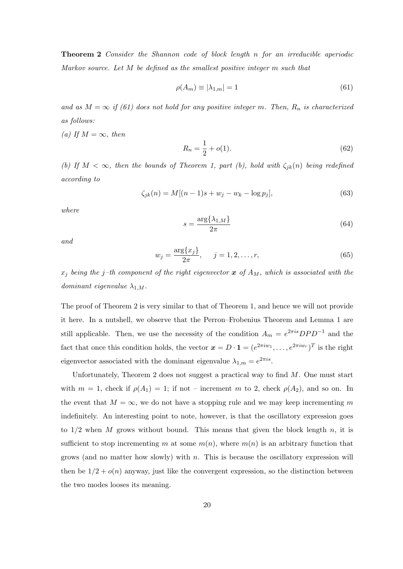Theorem 2 Consider the Shannon code of block length n for an irreducible aperiodic Markov source. Let M be defined as the smallest positive integer m such that

$$
\rho(A_m) \equiv |\lambda_{1,m}| = 1 \tag{61}
$$

and as  $M = \infty$  if (61) does not hold for any positive integer m. Then,  $R_n$  is characterized as follows:

(a) If  $M = \infty$ , then

$$
R_n = \frac{1}{2} + o(1). \tag{62}
$$

(b) If  $M < \infty$ , then the bounds of Theorem 1, part (b), hold with  $\zeta_{jk}(n)$  being redefined according to

$$
\zeta_{jk}(n) = M[(n-1)s + w_j - w_k - \log p_j],\tag{63}
$$

where

$$
s = \frac{\arg\{\lambda_{1,M}\}}{2\pi} \tag{64}
$$

and

$$
w_j = \frac{\arg\{x_j\}}{2\pi}, \quad j = 1, 2, \dots, r,
$$
\n(65)

 $x_j$  being the j-th component of the right eigenvector x of  $A_M$ , which is associated with the dominant eigenvalue  $\lambda_{1,M}$ .

The proof of Theorem 2 is very similar to that of Theorem 1, and hence we will not provide it here. In a nutshell, we observe that the Perron–Frobenius Theorem and Lemma 1 are still applicable. Then, we use the necessity of the condition  $A_m = e^{2\pi i s} DPD^{-1}$  and the fact that once this condition holds, the vector  $\mathbf{x} = D \cdot \mathbf{1} = (e^{2\pi i w_1}, \dots, e^{2\pi i w_r})^T$  is the right eigenvector associated with the dominant eigenvalue  $\lambda_{1,m} = e^{2\pi i s}$ .

Unfortunately, Theorem 2 does not suggest a practical way to find  $M$ . One must start with  $m = 1$ , check if  $\rho(A_1) = 1$ ; if not – increment m to 2, check  $\rho(A_2)$ , and so on. In the event that  $M = \infty$ , we do not have a stopping rule and we may keep incrementing m indefinitely. An interesting point to note, however, is that the oscillatory expression goes to  $1/2$  when M grows without bound. This means that given the block length n, it is sufficient to stop incrementing m at some  $m(n)$ , where  $m(n)$  is an arbitrary function that grows (and no matter how slowly) with n. This is because the oscillatory expression will then be  $1/2 + o(n)$  anyway, just like the convergent expression, so the distinction between the two modes looses its meaning.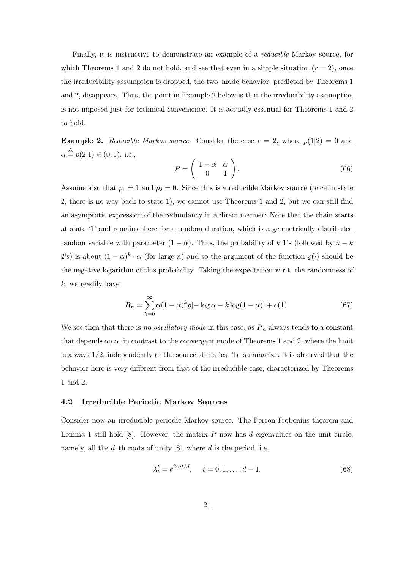Finally, it is instructive to demonstrate an example of a *reducible* Markov source, for which Theorems 1 and 2 do not hold, and see that even in a simple situation  $(r = 2)$ , once the irreducibility assumption is dropped, the two–mode behavior, predicted by Theorems 1 and 2, disappears. Thus, the point in Example 2 below is that the irreducibility assumption is not imposed just for technical convenience. It is actually essential for Theorems 1 and 2 to hold.

**Example 2.** Reducible Markov source. Consider the case  $r = 2$ , where  $p(1|2) = 0$  and  $\alpha \stackrel{\triangle}{=} p(2|1) \in (0,1)$ , i.e.,

$$
P = \left(\begin{array}{cc} 1 - \alpha & \alpha \\ 0 & 1 \end{array}\right). \tag{66}
$$

Assume also that  $p_1 = 1$  and  $p_2 = 0$ . Since this is a reducible Markov source (once in state 2, there is no way back to state 1), we cannot use Theorems 1 and 2, but we can still find an asymptotic expression of the redundancy in a direct manner: Note that the chain starts at state '1' and remains there for a random duration, which is a geometrically distributed random variable with parameter  $(1 - \alpha)$ . Thus, the probability of k 1's (followed by  $n - k$ 2's) is about  $(1 - \alpha)^k \cdot \alpha$  (for large n) and so the argument of the function  $\varrho(\cdot)$  should be the negative logarithm of this probability. Taking the expectation w.r.t. the randomness of k, we readily have

$$
R_n = \sum_{k=0}^{\infty} \alpha (1 - \alpha)^k \varrho [-\log \alpha - k \log(1 - \alpha)] + o(1).
$$
 (67)

We see then that there is no oscillatory mode in this case, as  $R_n$  always tends to a constant that depends on  $\alpha$ , in contrast to the convergent mode of Theorems 1 and 2, where the limit is always 1/2, independently of the source statistics. To summarize, it is observed that the behavior here is very different from that of the irreducible case, characterized by Theorems 1 and 2.

#### 4.2 Irreducible Periodic Markov Sources

Consider now an irreducible periodic Markov source. The Perron-Frobenius theorem and Lemma 1 still hold  $[8]$ . However, the matrix P now has d eigenvalues on the unit circle, namely, all the  $d$ -th roots of unity [8], where  $d$  is the period, i.e.,

$$
\lambda_t' = e^{2\pi i t/d}, \quad t = 0, 1, \dots, d - 1. \tag{68}
$$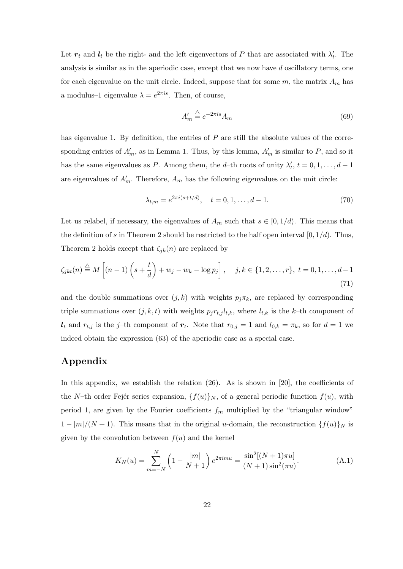Let  $r_t$  and  $l_t$  be the right- and the left eigenvectors of P that are associated with  $\lambda'_t$ . The analysis is similar as in the aperiodic case, except that we now have d oscillatory terms, one for each eigenvalue on the unit circle. Indeed, suppose that for some  $m$ , the matrix  $A_m$  has a modulus–1 eigenvalue  $\lambda = e^{2\pi i s}$ . Then, of course,

$$
A'_m \stackrel{\triangle}{=} e^{-2\pi i s} A_m \tag{69}
$$

has eigenvalue 1. By definition, the entries of  $P$  are still the absolute values of the corresponding entries of  $A'_m$ , as in Lemma 1. Thus, by this lemma,  $A'_m$  is similar to P, and so it has the same eigenvalues as P. Among them, the d–th roots of unity  $\lambda'_t$ ,  $t = 0, 1, \ldots, d - 1$ are eigenvalues of  $A'_m$ . Therefore,  $A_m$  has the following eigenvalues on the unit circle:

$$
\lambda_{t,m} = e^{2\pi i (s+t/d)}, \quad t = 0, 1, \dots, d-1. \tag{70}
$$

Let us relabel, if necessary, the eigenvalues of  $A_m$  such that  $s \in [0, 1/d)$ . This means that the definition of s in Theorem 2 should be restricted to the half open interval [0,  $1/d$ ). Thus, Theorem 2 holds except that  $\zeta_{ik}(n)$  are replaced by

$$
\zeta_{jkt}(n) \stackrel{\triangle}{=} M\left[ (n-1)\left(s + \frac{t}{d}\right) + w_j - w_k - \log p_j \right], \quad j, k \in \{1, 2, \dots, r\}, \ t = 0, 1, \dots, d - 1
$$
\n(71)

and the double summations over  $(j, k)$  with weights  $p_j \pi_k$ , are replaced by corresponding triple summations over  $(j, k, t)$  with weights  $p_j r_{t,j} l_{t,k}$ , where  $l_{t,k}$  is the k-th component of  $l_t$  and  $r_{t,j}$  is the j-th component of  $r_t$ . Note that  $r_{0,j} = 1$  and  $l_{0,k} = \pi_k$ , so for  $d = 1$  we indeed obtain the expression (63) of the aperiodic case as a special case.

# Appendix

In this appendix, we establish the relation (26). As is shown in [20], the coefficients of the N–th order Fejér series expansion,  ${f(u)}_N$ , of a general periodic function  $f(u)$ , with period 1, are given by the Fourier coefficients  $f_m$  multiplied by the "triangular window"  $1 - |m|/(N + 1)$ . This means that in the original u-domain, the reconstruction  $\{f(u)\}_N$  is given by the convolution between  $f(u)$  and the kernel

$$
K_N(u) = \sum_{m=-N}^{N} \left(1 - \frac{|m|}{N+1}\right) e^{2\pi imu} = \frac{\sin^2[(N+1)\pi u]}{(N+1)\sin^2(\pi u)}.
$$
(A.1)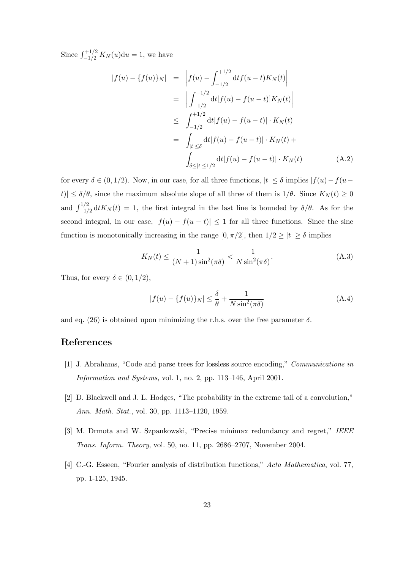Since  $\int_{-1/2}^{+1/2} K_N(u) \mathrm{d}u = 1$ , we have

$$
|f(u) - \{f(u)\}_N| = \left| f(u) - \int_{-1/2}^{+1/2} dt f(u - t) K_N(t) \right|
$$
  
\n
$$
= \left| \int_{-1/2}^{+1/2} dt [f(u) - f(u - t)] K_N(t) \right|
$$
  
\n
$$
\leq \int_{-1/2}^{+1/2} dt |f(u) - f(u - t)| \cdot K_N(t)
$$
  
\n
$$
= \int_{|t| \leq \delta} dt |f(u) - f(u - t)| \cdot K_N(t) + \int_{\delta \leq |t| \leq 1/2} dt |f(u) - f(u - t)| \cdot K_N(t) \qquad (A.2)
$$

for every  $\delta \in (0, 1/2)$ . Now, in our case, for all three functions,  $|t| \leq \delta$  implies  $|f(u) - f(u-\delta)|$ t)|  $\leq \delta/\theta$ , since the maximum absolute slope of all three of them is  $1/\theta$ . Since  $K_N(t) \geq 0$ and  $\int_{-1/2}^{1/2} dt K_N(t) = 1$ , the first integral in the last line is bounded by  $\delta/\theta$ . As for the second integral, in our case,  $|f(u) - f(u - t)| \leq 1$  for all three functions. Since the sine function is monotonically increasing in the range  $[0, \pi/2]$ , then  $1/2 \geq |t| \geq \delta$  implies

$$
K_N(t) \le \frac{1}{(N+1)\sin^2(\pi\delta)} < \frac{1}{N\sin^2(\pi\delta)}.\tag{A.3}
$$

Thus, for every  $\delta \in (0, 1/2)$ ,

$$
|f(u) - \{f(u)\}_N| \le \frac{\delta}{\theta} + \frac{1}{N\sin^2(\pi\delta)}\tag{A.4}
$$

and eq. (26) is obtained upon minimizing the r.h.s. over the free parameter  $\delta$ .

# References

- [1] J. Abrahams, "Code and parse trees for lossless source encoding," Communications in Information and Systems, vol. 1, no. 2, pp. 113–146, April 2001.
- [2] D. Blackwell and J. L. Hodges, "The probability in the extreme tail of a convolution," Ann. Math. Stat., vol. 30, pp. 1113–1120, 1959.
- [3] M. Drmota and W. Szpankowski, "Precise minimax redundancy and regret," IEEE Trans. Inform. Theory, vol. 50, no. 11, pp. 2686–2707, November 2004.
- [4] C.-G. Esseen, "Fourier analysis of distribution functions," Acta Mathematica, vol. 77, pp. 1-125, 1945.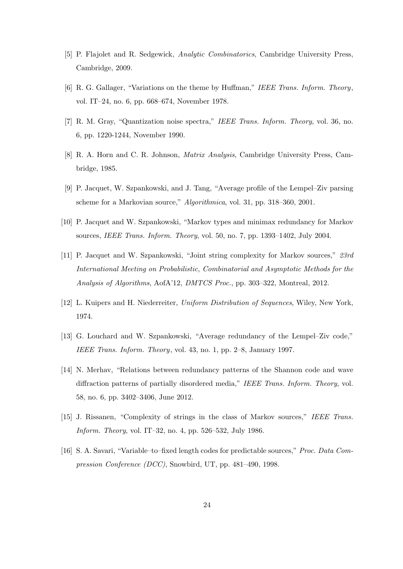- [5] P. Flajolet and R. Sedgewick, Analytic Combinatorics, Cambridge University Press, Cambridge, 2009.
- [6] R. G. Gallager, "Variations on the theme by Huffman," IEEE Trans. Inform. Theory, vol. IT–24, no. 6, pp. 668–674, November 1978.
- [7] R. M. Gray, "Quantization noise spectra," IEEE Trans. Inform. Theory, vol. 36, no. 6, pp. 1220-1244, November 1990.
- [8] R. A. Horn and C. R. Johnson, Matrix Analysis, Cambridge University Press, Cambridge, 1985.
- [9] P. Jacquet, W. Szpankowski, and J. Tang, "Average profile of the Lempel–Ziv parsing scheme for a Markovian source," Algorithmica, vol. 31, pp. 318–360, 2001.
- [10] P. Jacquet and W. Szpankowski, "Markov types and minimax redundancy for Markov sources, IEEE Trans. Inform. Theory, vol. 50, no. 7, pp. 1393–1402, July 2004.
- [11] P. Jacquet and W. Szpankowski, "Joint string complexity for Markov sources," 23rd International Meeting on Probabilistic, Combinatorial and Asymptotic Methods for the Analysis of Algorithms, AofA'12, DMTCS Proc., pp. 303–322, Montreal, 2012.
- [12] L. Kuipers and H. Niederreiter, Uniform Distribution of Sequences, Wiley, New York, 1974.
- [13] G. Louchard and W. Szpankowski, "Average redundancy of the Lempel–Ziv code," IEEE Trans. Inform. Theory, vol. 43, no. 1, pp. 2–8, January 1997.
- [14] N. Merhav, "Relations between redundancy patterns of the Shannon code and wave diffraction patterns of partially disordered media," IEEE Trans. Inform. Theory, vol. 58, no. 6, pp. 3402–3406, June 2012.
- [15] J. Rissanen, "Complexity of strings in the class of Markov sources," IEEE Trans. Inform. Theory, vol. IT–32, no. 4, pp. 526–532, July 1986.
- [16] S. A. Savari, "Variable–to–fixed length codes for predictable sources," Proc. Data Compression Conference (DCC), Snowbird, UT, pp. 481–490, 1998.